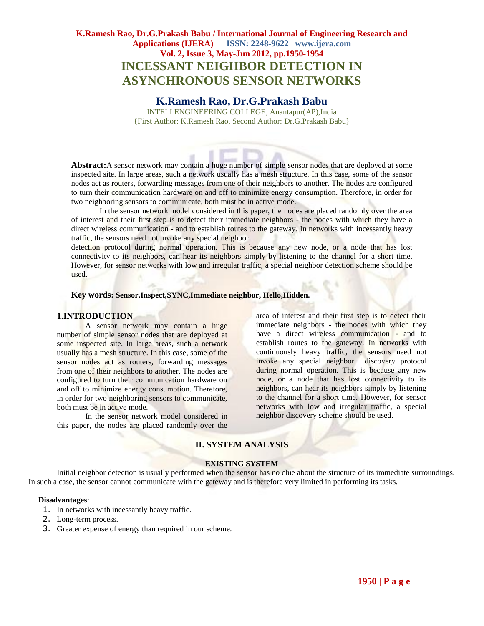# **K.Ramesh Rao, Dr.G.Prakash Babu / International Journal of Engineering Research and Applications (IJERA) ISSN: 2248-9622 www.ijera.com Vol. 2, Issue 3, May-Jun 2012, pp.1950-1954 INCESSANT NEIGHBOR DETECTION IN ASYNCHRONOUS SENSOR NETWORKS**

# **K.Ramesh Rao, Dr.G.Prakash Babu**

INTELLENGINEERING COLLEGE, Anantapur(AP),India {First Author: K.Ramesh Rao, Second Author: Dr.G.Prakash Babu}

**Abstract:**A sensor network may contain a huge number of simple sensor nodes that are deployed at some inspected site. In large areas, such a network usually has a mesh structure. In this case, some of the sensor nodes act as routers, forwarding messages from one of their neighbors to another. The nodes are configured to turn their communication hardware on and off to minimize energy consumption. Therefore, in order for two neighboring sensors to communicate, both must be in active mode.

In the sensor network model considered in this paper, the nodes are placed randomly over the area of interest and their first step is to detect their immediate neighbors - the nodes with which they have a direct wireless communication - and to establish routes to the gateway. In networks with incessantly heavy traffic, the sensors need not invoke any special neighbor

detection protocol during normal operation. This is because any new node, or a node that has lost connectivity to its neighbors, can hear its neighbors simply by listening to the channel for a short time. However, for sensor networks with low and irregular traffic, a special neighbor detection scheme should be used.

## **Key words: Sensor,Inspect,SYNC,Immediate neighbor, Hello,Hidden.**

### **1.INTRODUCTION**

A sensor network may contain a huge number of simple sensor nodes that are deployed at some inspected site. In large areas, such a network usually has a mesh structure. In this case, some of the sensor nodes act as routers, forwarding messages from one of their neighbors to another. The nodes are configured to turn their communication hardware on and off to minimize energy consumption. Therefore, in order for two neighboring sensors to communicate, both must be in active mode.

In the sensor network model considered in this paper, the nodes are placed randomly over the

area of interest and their first step is to detect their immediate neighbors - the nodes with which they have a direct wireless communication - and to establish routes to the gateway. In networks with continuously heavy traffic, the sensors need not invoke any special neighbor discovery protocol during normal operation. This is because any new node, or a node that has lost connectivity to its neighbors, can hear its neighbors simply by listening to the channel for a short time. However, for sensor networks with low and irregular traffic, a special neighbor discovery scheme should be used.

### **II. SYSTEM ANALYSIS**

#### **EXISTING SYSTEM**

Initial neighbor detection is usually performed when the sensor has no clue about the structure of its immediate surroundings. In such a case, the sensor cannot communicate with the gateway and is therefore very limited in performing its tasks.

#### **Disadvantages**:

- 1. In networks with incessantly heavy traffic.
- 2. Long-term process.
- 3. Greater expense of energy than required in our scheme.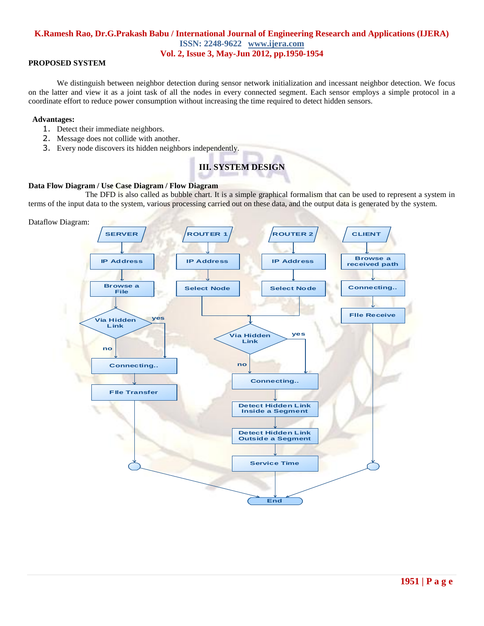## **PROPOSED SYSTEM**

We distinguish between neighbor detection during sensor network initialization and incessant neighbor detection. We focus on the latter and view it as a joint task of all the nodes in every connected segment. Each sensor employs a simple protocol in a coordinate effort to reduce power consumption without increasing the time required to detect hidden sensors.

#### **Advantages:**

- 1. Detect their immediate neighbors.
- 2. Message does not collide with another.
- 3. Every node discovers its hidden neighbors independently.

# **III. SYSTEM DESIGN**

#### **Data Flow Diagram / Use Case Diagram / Flow Diagram**

The DFD is also called as bubble chart. It is a simple graphical formalism that can be used to represent a system in terms of the input data to the system, various processing carried out on these data, and the output data is generated by the system.

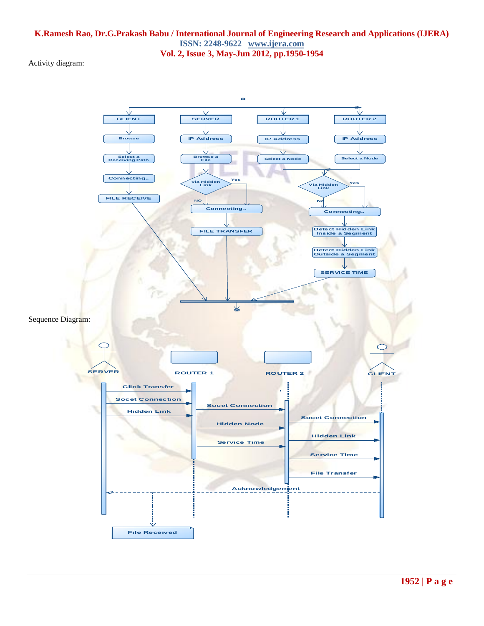Activity diagram:

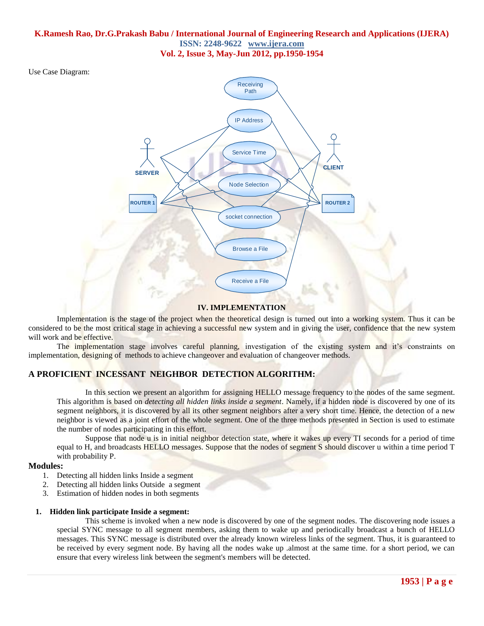Use Case Diagram:



#### **IV. IMPLEMENTATION**

Implementation is the stage of the project when the theoretical design is turned out into a working system. Thus it can be considered to be the most critical stage in achieving a successful new system and in giving the user, confidence that the new system will work and be effective.

The implementation stage involves careful planning, investigation of the existing system and it's constraints on implementation, designing of methods to achieve changeover and evaluation of changeover methods.

## **A PROFICIENT INCESSANT NEIGHBOR DETECTION ALGORITHM:**

In this section we present an algorithm for assigning HELLO message frequency to the nodes of the same segment. This algorithm is based on *detecting all hidden links inside a segment*. Namely, if a hidden node is discovered by one of its segment neighbors, it is discovered by all its other segment neighbors after a very short time. Hence, the detection of a new neighbor is viewed as a joint effort of the whole segment. One of the three methods presented in Section is used to estimate the number of nodes participating in this effort.

Suppose that node u is in initial neighbor detection state, where it wakes up every TI seconds for a period of time equal to H, and broadcasts HELLO messages. Suppose that the nodes of segment S should discover u within a time period T with probability P.

#### **Modules:**

- 1. Detecting all hidden links Inside a segment
- 2. Detecting all hidden links Outside a segment
- 3. Estimation of hidden nodes in both segments

#### **1. Hidden link participate Inside a segment:**

This scheme is invoked when a new node is discovered by one of the segment nodes. The discovering node issues a special SYNC message to all segment members, asking them to wake up and periodically broadcast a bunch of HELLO messages. This SYNC message is distributed over the already known wireless links of the segment. Thus, it is guaranteed to be received by every segment node. By having all the nodes wake up .almost at the same time. for a short period, we can ensure that every wireless link between the segment's members will be detected.